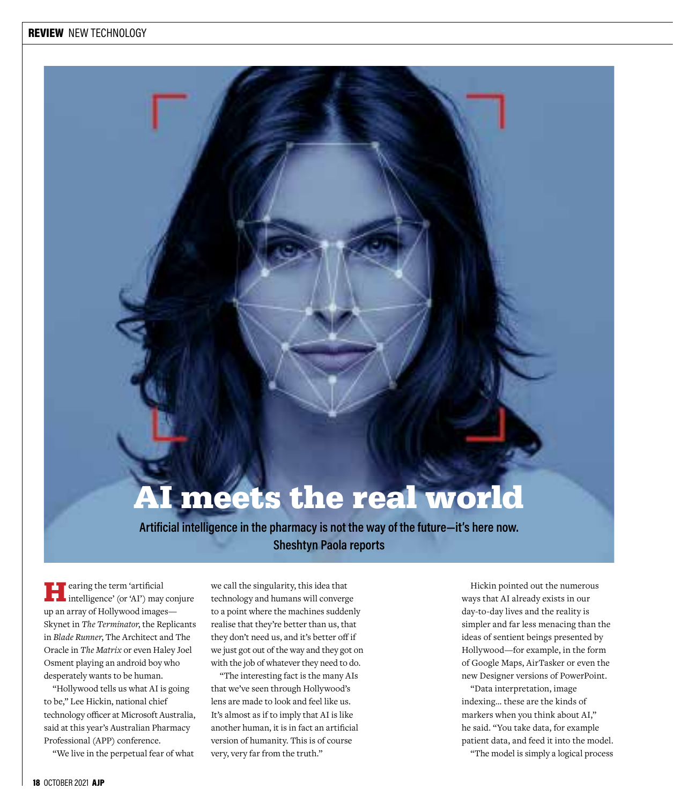# meets the real world

**Artificial intelligence in the pharmacy is not the way of the future—it's here now. Sheshtyn Paola reports**

**Following** the term 'artificial end only intelligence' (or 'AI') may conjure up an array of Hollywood images— Skynet in *The Terminator*, the Replicants in *Blade Runner*, The Architect and The Oracle in *The Matrix* or even Haley Joel Osment playing an android boy who desperately wants to be human.

"Hollywood tells us what AI is going to be," Lee Hickin, national chief technology officer at Microsoft Australia, said at this year's Australian Pharmacy Professional (APP) conference.

"We live in the perpetual fear of what

we call the singularity, this idea that technology and humans will converge to a point where the machines suddenly realise that they're better than us, that they don't need us, and it's better off if we just got out of the way and they got on with the job of whatever they need to do.

"The interesting fact is the many AIs that we've seen through Hollywood's lens are made to look and feel like us. It's almost as if to imply that AI is like another human, it is in fact an artificial version of humanity. This is of course very, very far from the truth."

Hickin pointed out the numerous ways that AI already exists in our day-to-day lives and the reality is simpler and far less menacing than the ideas of sentient beings presented by Hollywood—for example, in the form of Google Maps, AirTasker or even the new Designer versions of PowerPoint.

"Data interpretation, image indexing… these are the kinds of markers when you think about AI," he said. "You take data, for example patient data, and feed it into the model. "The model is simply a logical process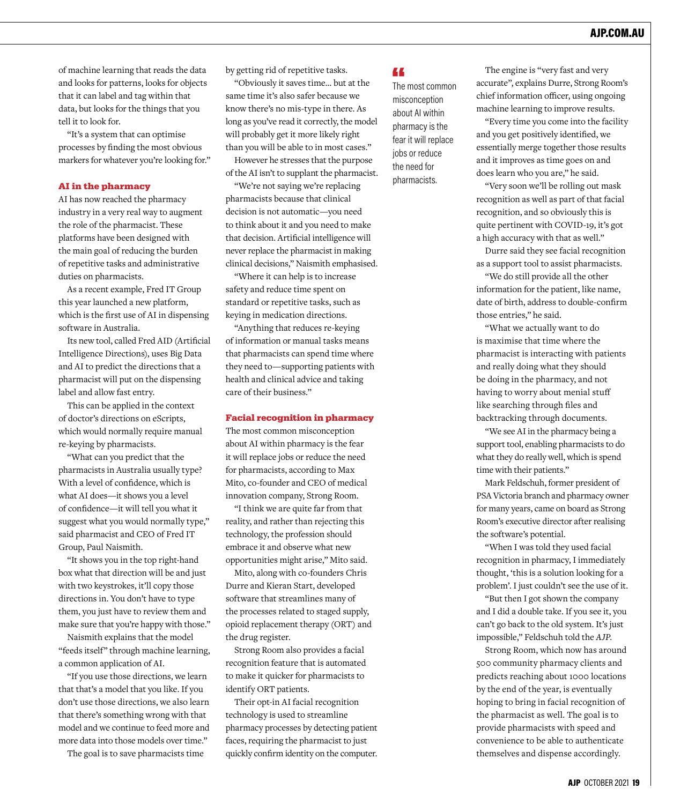of machine learning that reads the data and looks for patterns, looks for objects that it can label and tag within that data, but looks for the things that you tell it to look for.

"It's a system that can optimise processes by finding the most obvious markers for whatever you're looking for."

#### AI in the pharmacy

AI has now reached the pharmacy industry in a very real way to augment the role of the pharmacist. These platforms have been designed with the main goal of reducing the burden of repetitive tasks and administrative duties on pharmacists.

As a recent example, Fred IT Group this year launched a new platform, which is the first use of AI in dispensing software in Australia.

Its new tool, called Fred AID (Artificial Intelligence Directions), uses Big Data and AI to predict the directions that a pharmacist will put on the dispensing label and allow fast entry.

This can be applied in the context of doctor's directions on eScripts, which would normally require manual re-keying by pharmacists.

"What can you predict that the pharmacists in Australia usually type? With a level of confidence, which is what AI does—it shows you a level of confidence—it will tell you what it suggest what you would normally type," said pharmacist and CEO of Fred IT Group, Paul Naismith.

"It shows you in the top right-hand box what that direction will be and just with two keystrokes, it'll copy those directions in. You don't have to type them, you just have to review them and make sure that you're happy with those."

Naismith explains that the model "feeds itself" through machine learning, a common application of AI.

"If you use those directions, we learn that that's a model that you like. If you don't use those directions, we also learn that there's something wrong with that model and we continue to feed more and more data into those models over time."

The goal is to save pharmacists time

by getting rid of repetitive tasks.

"Obviously it saves time… but at the same time it's also safer because we know there's no mis-type in there. As long as you've read it correctly, the model will probably get it more likely right than you will be able to in most cases."

However he stresses that the purpose of the AI isn't to supplant the pharmacist.

"We're not saying we're replacing pharmacists because that clinical decision is not automatic—you need to think about it and you need to make that decision. Artificial intelligence will never replace the pharmacist in making clinical decisions," Naismith emphasised.

"Where it can help is to increase safety and reduce time spent on standard or repetitive tasks, such as keying in medication directions.

"Anything that reduces re-keying of information or manual tasks means that pharmacists can spend time where they need to—supporting patients with health and clinical advice and taking care of their business."

#### Facial recognition in pharmacy

The most common misconception about AI within pharmacy is the fear it will replace jobs or reduce the need for pharmacists, according to Max Mito, co-founder and CEO of medical innovation company, Strong Room.

"I think we are quite far from that reality, and rather than rejecting this technology, the profession should embrace it and observe what new opportunities might arise," Mito said.

Mito, along with co-founders Chris Durre and Kieran Start, developed software that streamlines many of the processes related to staged supply, opioid replacement therapy (ORT) and the drug register.

Strong Room also provides a facial recognition feature that is automated to make it quicker for pharmacists to identify ORT patients.

Their opt-in AI facial recognition technology is used to streamline pharmacy processes by detecting patient faces, requiring the pharmacist to just quickly confirm identity on the computer.

#### 44

The most common misconception about AI within pharmacy is the fear it will replace jobs or reduce the need for pharmacists.

The engine is "very fast and very accurate", explains Durre, Strong Room's chief information officer, using ongoing machine learning to improve results.

"Every time you come into the facility and you get positively identified, we essentially merge together those results and it improves as time goes on and does learn who you are," he said.

"Very soon we'll be rolling out mask recognition as well as part of that facial recognition, and so obviously this is quite pertinent with COVID-19, it's got a high accuracy with that as well."

Durre said they see facial recognition as a support tool to assist pharmacists.

"We do still provide all the other information for the patient, like name, date of birth, address to double-confirm those entries," he said.

"What we actually want to do is maximise that time where the pharmacist is interacting with patients and really doing what they should be doing in the pharmacy, and not having to worry about menial stuff like searching through files and backtracking through documents.

"We see AI in the pharmacy being a support tool, enabling pharmacists to do what they do really well, which is spend time with their patients."

Mark Feldschuh, former president of PSA Victoria branch and pharmacy owner for many years, came on board as Strong Room's executive director after realising the software's potential.

"When I was told they used facial recognition in pharmacy, I immediately thought, 'this is a solution looking for a problem'. I just couldn't see the use of it.

"But then I got shown the company and I did a double take. If you see it, you can't go back to the old system. It's just impossible," Feldschuh told the *AJP*.

Strong Room, which now has around 500 community pharmacy clients and predicts reaching about 1000 locations by the end of the year, is eventually hoping to bring in facial recognition of the pharmacist as well. The goal is to provide pharmacists with speed and convenience to be able to authenticate themselves and dispense accordingly.